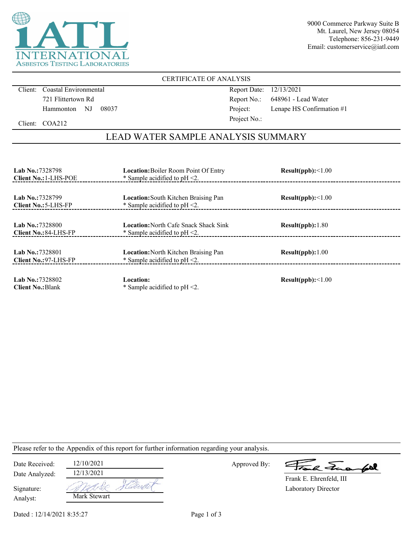

9000 Commerce Parkway Suite B Mt. Laurel, New Jersey 08054 Telephone: 856-231-9449 Email: customerservice@iatl.com

### CERTIFICATE OF ANALYSIS

Client: Coastal Environmental 721 Flittertown Rd Hammonton NJ 08037 Report Date: 12/13/2021 Report No.: 648961 - Lead Water Project: Lenape HS Confirmation #1 Project No.:

Client: COA212

## LEAD WATER SAMPLE ANALYSIS SUMMARY

| <b>Lab No.:7328798</b><br><b>Client No.: 1-LHS-POE</b> | <b>Location:</b> Boiler Room Point Of Entry<br>* Sample acidified to $pH < 2$ .  | Result(ppb):<1.00 |  |
|--------------------------------------------------------|----------------------------------------------------------------------------------|-------------------|--|
| <b>Lab No.:7328799</b><br>Client No.: 5-LHS-FP         | <b>Location:</b> South Kitchen Braising Pan<br>* Sample acidified to $pH < 2$ .  | Result(ppb):<1.00 |  |
| <b>Lab No.:7328800</b><br><b>Client No.: 84-LHS-FP</b> | <b>Location:</b> North Cafe Snack Shack Sink<br>* Sample acidified to $pH < 2$ . | Result(ppb): 1.80 |  |
| Lab No.: 7328801<br>Client No.: 97-LHS-FP              | <b>Location:</b> North Kitchen Braising Pan<br>* Sample acidified to $pH < 2$ .  | Result(ppb):1.00  |  |
| Lab No.: 7328802<br><b>Client No.: Blank</b>           | Location:<br>* Sample acidified to $pH < 2$ .                                    | Result(ppb):<1.00 |  |

Please refer to the Appendix of this report for further information regarding your analysis.

| Date Received:         | 12/10/2021   |
|------------------------|--------------|
| Date Analyzed:         | 12/13/2021   |
| Signature:<br>Analyst: | Mark Stewart |

Approved By:

a Jua fol

Laboratory Director Frank E. Ehrenfeld, III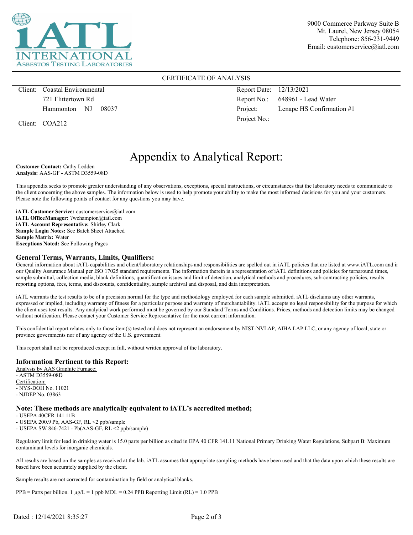

9000 Commerce Parkway Suite B Mt. Laurel, New Jersey 08054 Telephone: 856-231-9449 Email: customerservice@iatl.com

#### CERTIFICATE OF ANALYSIS

Client: Coastal Environmental 721 Flittertown Rd Hammonton NJ 08037

Client: COA212

Report Date: 12/13/2021 Report No.: 648961 - Lead Water Project: Lenape HS Confirmation #1 Project No.:

# Appendix to Analytical Report:

**Customer Contact:** Cathy Ledden **Analysis:** AAS-GF - ASTM D3559-08D

This appendix seeks to promote greater understanding of any observations, exceptions, special instructions, or circumstances that the laboratory needs to communicate to the client concerning the above samples. The information below is used to help promote your ability to make the most informed decisions for you and your customers. Please note the following points of contact for any questions you may have.

**iATL Customer Service:** customerservice@iatl.com **iATL OfficeManager:** ?wchampion@iatl.com **iATL Account Representative:** Shirley Clark **Sample Login Notes:** See Batch Sheet Attached **Sample Matrix:** Water **Exceptions Noted:** See Following Pages

#### **General Terms, Warrants, Limits, Qualifiers:**

General information about iATL capabilities and client/laboratory relationships and responsibilities are spelled out in iATL policies that are listed at www.iATL.com and in our Quality Assurance Manual per ISO 17025 standard requirements. The information therein is a representation of iATL definitions and policies for turnaround times, sample submittal, collection media, blank definitions, quantification issues and limit of detection, analytical methods and procedures, sub-contracting policies, results reporting options, fees, terms, and discounts, confidentiality, sample archival and disposal, and data interpretation.

iATL warrants the test results to be of a precision normal for the type and methodology employed for each sample submitted. iATL disclaims any other warrants, expressed or implied, including warranty of fitness for a particular purpose and warranty of merchantability. iATL accepts no legal responsibility for the purpose for which the client uses test results. Any analytical work performed must be governed by our Standard Terms and Conditions. Prices, methods and detection limits may be changed without notification. Please contact your Customer Service Representative for the most current information.

This confidential report relates only to those item(s) tested and does not represent an endorsement by NIST-NVLAP, AIHA LAP LLC, or any agency of local, state or province governments nor of any agency of the U.S. government.

This report shall not be reproduced except in full, without written approval of the laboratory.

#### **Information Pertinent to this Report:**

Analysis by AAS Graphite Furnace: - ASTM D3559-08D Certification: - NYS-DOH No. 11021 - NJDEP No. 03863

#### **Note: These methods are analytically equivalent to iATL's accredited method;**

- USEPA 40CFR 141.11B

- USEPA 200.9 Pb, AAS-GF, RL <2 ppb/sample

- USEPA SW 846-7421 - Pb(AAS-GF, RL <2 ppb/sample)

Regulatory limit for lead in drinking water is 15.0 parts per billion as cited in EPA 40 CFR 141.11 National Primary Drinking Water Regulations, Subpart B: Maximum contaminant levels for inorganic chemicals.

All results are based on the samples as received at the lab. iATL assumes that appropriate sampling methods have been used and that the data upon which these results are based have been accurately supplied by the client.

Sample results are not corrected for contamination by field or analytical blanks.

 $PPB =$  Parts per billion. 1  $\mu g/L = 1$  ppb MDL = 0.24 PPB Reporting Limit (RL) = 1.0 PPB